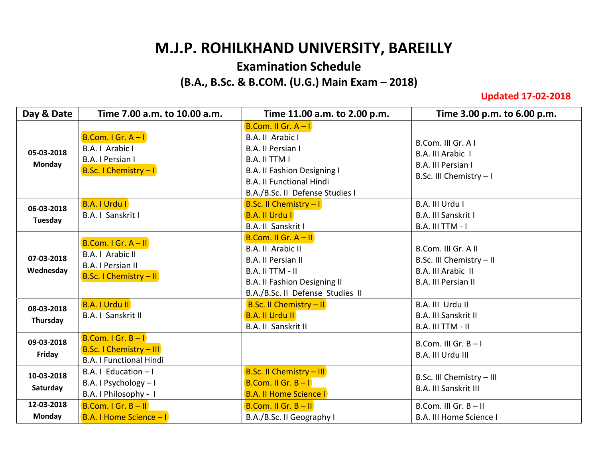## **M.J.P. ROHILKHAND UNIVERSITY, BAREILLY**

## **Examination Schedule**

## **(B.A., B.Sc. & B.COM. (U.G.) Main Exam – 2018)**

**Updated 17-02-2018**

| Day & Date                  | Time 7.00 a.m. to 10.00 a.m.                                                                  | Time 11.00 a.m. to 2.00 p.m.                                                                                                                                                                | Time 3.00 p.m. to 6.00 p.m.                                                                  |
|-----------------------------|-----------------------------------------------------------------------------------------------|---------------------------------------------------------------------------------------------------------------------------------------------------------------------------------------------|----------------------------------------------------------------------------------------------|
| 05-03-2018<br><b>Monday</b> | $B.$ Com. I Gr. A - I<br>B.A.   Arabic  <br>B.A. I Persian I<br><b>B.Sc. I Chemistry - I</b>  | B.Com. II Gr. $A - I$<br>B.A. II Arabic I<br>B.A. II Persian I<br><b>B.A. II TTM I</b><br>B.A. II Fashion Designing I<br><b>B.A. II Functional Hindi</b><br>B.A./B.Sc. II Defense Studies I | B.Com. III Gr. A I<br>B.A. III Arabic I<br>B.A. III Persian I<br>B.Sc. III Chemistry - I     |
| 06-03-2018<br>Tuesday       | B.A. I Urdu I<br>B.A. I Sanskrit I                                                            | <b>B.Sc. II Chemistry - I</b><br><b>B.A. II Urdu I</b><br>B.A. II Sanskrit I                                                                                                                | B.A. III Urdu I<br>B.A. III Sanskrit I<br><b>B.A. III TTM - I</b>                            |
| 07-03-2018<br>Wednesday     | <b>B.Com. I Gr. A - II</b><br>B.A.   Arabic II<br>B.A. I Persian II<br>B.Sc. I Chemistry - II | B.Com. II Gr. $A - II$<br>B.A. II Arabic II<br><b>B.A. II Persian II</b><br>B.A. II TTM - II<br><b>B.A. II Fashion Designing II</b><br>B.A./B.Sc. II Defense Studies II                     | B.Com. III Gr. A II<br>B.Sc. III Chemistry - II<br>B.A. III Arabic II<br>B.A. III Persian II |
| 08-03-2018<br>Thursday      | <b>B.A. I Urdu II</b><br>B.A. I Sanskrit II                                                   | <b>B.Sc. II Chemistry - II</b><br><b>B.A. II Urdu II</b><br><b>B.A. II Sanskrit II</b>                                                                                                      | B.A. III Urdu II<br><b>B.A. III Sanskrit II</b><br><b>B.A. III TTM - II</b>                  |
| 09-03-2018<br>Friday        | B.Com. I Gr. $B - I$<br><b>B.Sc. I Chemistry - III</b><br><b>B.A. I Functional Hindi</b>      |                                                                                                                                                                                             | B.Com. III Gr. $B - I$<br>B.A. III Urdu III                                                  |
| 10-03-2018<br>Saturday      | B.A. I Education $-1$<br>B.A. I Psychology - I<br>B.A. I Philosophy - I                       | <b>B.Sc. II Chemistry - III</b><br>B.Com. II Gr. $B - I$<br><b>B.A. II Home Science I</b>                                                                                                   | B.Sc. III Chemistry - III<br><b>B.A. III Sanskrit III</b>                                    |
| 12-03-2018<br>Monday        | B.Com. I Gr. $B - H$<br>B.A. I Home Science - I                                               | B.Com. II Gr. $B - II$<br>B.A./B.Sc. II Geography I                                                                                                                                         | B.Com. III Gr. $B - II$<br>B.A. III Home Science I                                           |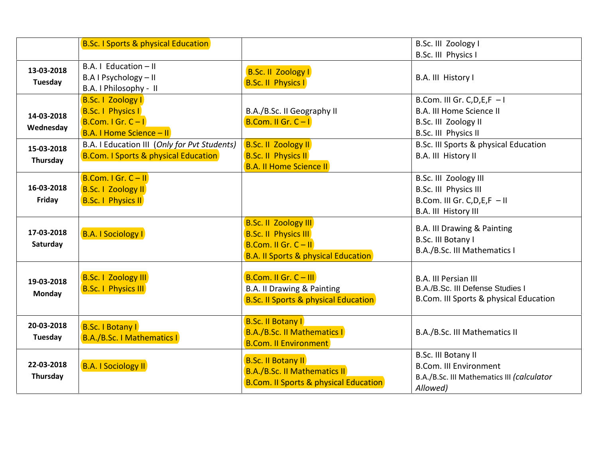|                             | <b>B.Sc. I Sports &amp; physical Education</b>                                                  |                                                                                                                                        | B.Sc. III Zoology I                                                                                                |
|-----------------------------|-------------------------------------------------------------------------------------------------|----------------------------------------------------------------------------------------------------------------------------------------|--------------------------------------------------------------------------------------------------------------------|
|                             |                                                                                                 |                                                                                                                                        | B.Sc. III Physics I                                                                                                |
| 13-03-2018<br>Tuesday       | B.A. I Education - II<br>B.A I Psychology - II<br>B.A. I Philosophy - II                        | <b>B.Sc. II Zoology I</b><br><b>B.Sc. II Physics I</b>                                                                                 | B.A. III History I                                                                                                 |
| 14-03-2018<br>Wednesday     | B.Sc.   Zoology  <br><b>B.Sc. I Physics I</b><br>B.Com. I Gr. $C-I$<br>B.A. I Home Science - II | B.A./B.Sc. II Geography II<br>B.Com. II Gr. $C - I$                                                                                    | B.Com. III Gr. C, D, E, $F - I$<br><b>B.A. III Home Science II</b><br>B.Sc. III Zoology II<br>B.Sc. III Physics II |
| 15-03-2018<br>Thursday      | B.A. I Education III (Only for Pvt Students)<br><b>B.Com. I Sports &amp; physical Education</b> | <b>B.Sc. II Zoology II</b><br><b>B.Sc. II Physics II</b><br><b>B.A. II Home Science II</b>                                             | B.Sc. III Sports & physical Education<br>B.A. III History II                                                       |
| 16-03-2018<br>Friday        | B.Com. I Gr. $C - II$<br><b>B.Sc. I Zoology II</b><br><b>B.Sc. I Physics II</b>                 |                                                                                                                                        | B.Sc. III Zoology III<br>B.Sc. III Physics III<br>B.Com. III Gr. C, D, E, F - II<br>B.A. III History III           |
| 17-03-2018<br>Saturday      | <b>B.A. I Sociology I</b>                                                                       | <b>B.Sc. II Zoology III</b><br><b>B.Sc. II Physics III</b><br>B.Com. II Gr. $C - II$<br><b>B.A. II Sports &amp; physical Education</b> | B.A. III Drawing & Painting<br>B.Sc. III Botany I<br>B.A./B.Sc. III Mathematics I                                  |
| 19-03-2018<br><b>Monday</b> | <b>B.Sc. I Zoology III</b><br><b>B.Sc. I Physics III</b>                                        | B.Com. II Gr. $C$ – III<br>B.A. II Drawing & Painting<br><b>B.Sc. II Sports &amp; physical Education</b>                               | <b>B.A. III Persian III</b><br>B.A./B.Sc. III Defense Studies I<br>B.Com. III Sports & physical Education          |
| 20-03-2018<br>Tuesday       | <b>B.Sc. I Botany I</b><br><b>B.A./B.Sc. I Mathematics I</b>                                    | <b>B.Sc. II Botany I</b><br><b>B.A./B.Sc. II Mathematics I</b><br><b>B.Com. II Environment</b>                                         | B.A./B.Sc. III Mathematics II                                                                                      |
| 22-03-2018<br>Thursday      | <b>B.A. I Sociology II</b>                                                                      | <b>B.Sc. II Botany II</b><br><b>B.A./B.Sc. II Mathematics II</b><br><b>B.Com. II Sports &amp; physical Education</b>                   | B.Sc. III Botany II<br><b>B.Com. III Environment</b><br>B.A./B.Sc. III Mathematics III (calculator<br>Allowed)     |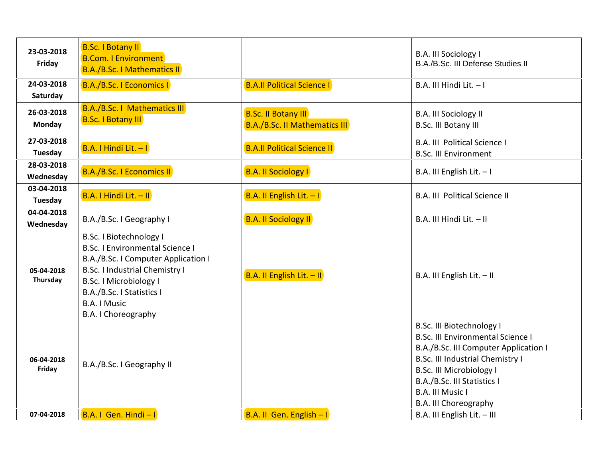| 23-03-2018<br>Friday    | <b>B.Sc. I Botany II</b><br><b>B.Com. I Environment</b><br><b>B.A./B.Sc. I Mathematics II</b>                                                                                                                                                                 |                                                                    | B.A. III Sociology I<br>B.A./B.Sc. III Defense Studies II                                                                                                                                                                                                                |
|-------------------------|---------------------------------------------------------------------------------------------------------------------------------------------------------------------------------------------------------------------------------------------------------------|--------------------------------------------------------------------|--------------------------------------------------------------------------------------------------------------------------------------------------------------------------------------------------------------------------------------------------------------------------|
| 24-03-2018<br>Saturday  | B.A./B.Sc.   Economics                                                                                                                                                                                                                                        | <b>B.A.II Political Science I</b>                                  | B.A. III Hindi Lit. - I                                                                                                                                                                                                                                                  |
| 26-03-2018<br>Monday    | <b>B.A./B.Sc. I Mathematics III</b><br><b>B.Sc. I Botany III</b>                                                                                                                                                                                              | <b>B.Sc. II Botany III</b><br><b>B.A./B.Sc. II Mathematics III</b> | <b>B.A. III Sociology II</b><br>B.Sc. III Botany III                                                                                                                                                                                                                     |
| 27-03-2018<br>Tuesday   | B.A. I Hindi Lit. - I                                                                                                                                                                                                                                         | <b>B.A.II Political Science II</b>                                 | B.A. III Political Science I<br><b>B.Sc. III Environment</b>                                                                                                                                                                                                             |
| 28-03-2018<br>Wednesday | B.A./B.Sc. I Economics II                                                                                                                                                                                                                                     | <b>B.A. II Sociology I</b>                                         | B.A. III English Lit. - I                                                                                                                                                                                                                                                |
| 03-04-2018<br>Tuesday   | B.A. I Hindi Lit. - II                                                                                                                                                                                                                                        | B.A. II English Lit. $-1$                                          | <b>B.A. III Political Science II</b>                                                                                                                                                                                                                                     |
| 04-04-2018<br>Wednesday | B.A./B.Sc. I Geography I                                                                                                                                                                                                                                      | <b>B.A. II Sociology II</b>                                        | B.A. III Hindi Lit. - II                                                                                                                                                                                                                                                 |
| 05-04-2018<br>Thursday  | B.Sc. I Biotechnology I<br><b>B.Sc. I Environmental Science I</b><br>B.A./B.Sc. I Computer Application I<br><b>B.Sc. I Industrial Chemistry I</b><br><b>B.Sc. I Microbiology I</b><br>B.A./B.Sc. I Statistics I<br><b>B.A. I Music</b><br>B.A. I Choreography | B.A. II English Lit. - II                                          | B.A. III English Lit. - II                                                                                                                                                                                                                                               |
| 06-04-2018<br>Friday    | B.A./B.Sc. I Geography II                                                                                                                                                                                                                                     |                                                                    | <b>B.Sc. III Biotechnology I</b><br><b>B.Sc. III Environmental Science I</b><br>B.A./B.Sc. III Computer Application I<br>B.Sc. III Industrial Chemistry I<br><b>B.Sc. III Microbiology I</b><br>B.A./B.Sc. III Statistics I<br>B.A. III Music I<br>B.A. III Choreography |
| 07-04-2018              | $B.A. I Gen. Hindi-I$                                                                                                                                                                                                                                         | B.A. II Gen. English - I                                           | B.A. III English Lit. - III                                                                                                                                                                                                                                              |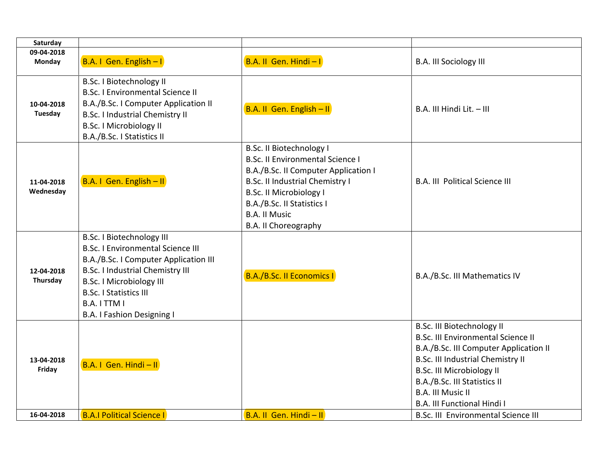| Saturday                |                                                                                |                                                                   |                                                          |
|-------------------------|--------------------------------------------------------------------------------|-------------------------------------------------------------------|----------------------------------------------------------|
| 09-04-2018              |                                                                                |                                                                   |                                                          |
| Monday                  | B.A. I Gen. English - I                                                        | B.A. II Gen. Hindi-I                                              | <b>B.A. III Sociology III</b>                            |
|                         | <b>B.Sc. I Biotechnology II</b>                                                |                                                                   |                                                          |
|                         | <b>B.Sc. I Environmental Science II</b>                                        |                                                                   |                                                          |
| 10-04-2018<br>Tuesday   | B.A./B.Sc. I Computer Application II<br><b>B.Sc. I Industrial Chemistry II</b> | B.A. II Gen. English - II                                         | B.A. III Hindi Lit. - III                                |
|                         | <b>B.Sc. I Microbiology II</b>                                                 |                                                                   |                                                          |
|                         | B.A./B.Sc. I Statistics II                                                     |                                                                   |                                                          |
|                         |                                                                                | <b>B.Sc. II Biotechnology I</b>                                   |                                                          |
|                         |                                                                                | <b>B.Sc. II Environmental Science I</b>                           |                                                          |
|                         |                                                                                | B.A./B.Sc. II Computer Application I                              |                                                          |
| 11-04-2018<br>Wednesday | B.A. I Gen. English - II                                                       | B.Sc. II Industrial Chemistry I<br><b>B.Sc. II Microbiology I</b> | <b>B.A. III Political Science III</b>                    |
|                         |                                                                                | B.A./B.Sc. II Statistics I                                        |                                                          |
|                         |                                                                                | <b>B.A. II Music</b>                                              |                                                          |
|                         |                                                                                | <b>B.A. II Choreography</b>                                       |                                                          |
|                         | <b>B.Sc. I Biotechnology III</b>                                               |                                                                   |                                                          |
|                         | <b>B.Sc. I Environmental Science III</b>                                       |                                                                   |                                                          |
|                         | B.A./B.Sc. I Computer Application III                                          |                                                                   |                                                          |
| 12-04-2018<br>Thursday  | <b>B.Sc. I Industrial Chemistry III</b>                                        | <b>B.A./B.Sc. II Economics I</b>                                  | B.A./B.Sc. III Mathematics IV                            |
|                         | <b>B.Sc. I Microbiology III</b><br><b>B.Sc. I Statistics III</b>               |                                                                   |                                                          |
|                         | B.A. I TTM I                                                                   |                                                                   |                                                          |
|                         | B.A. I Fashion Designing I                                                     |                                                                   |                                                          |
|                         |                                                                                |                                                                   | B.Sc. III Biotechnology II                               |
|                         |                                                                                |                                                                   | <b>B.Sc. III Environmental Science II</b>                |
|                         |                                                                                |                                                                   | B.A./B.Sc. III Computer Application II                   |
| 13-04-2018              | B.A. I Gen. Hindi - II                                                         |                                                                   | <b>B.Sc. III Industrial Chemistry II</b>                 |
| Friday                  |                                                                                |                                                                   | <b>B.Sc. III Microbiology II</b>                         |
|                         |                                                                                |                                                                   | B.A./B.Sc. III Statistics II<br><b>B.A. III Music II</b> |
|                         |                                                                                |                                                                   | <b>B.A. III Functional Hindi I</b>                       |
| 16-04-2018              | <b>B.A.I Political Science I</b>                                               | B.A. II Gen. Hindi - II                                           | B.Sc. III Environmental Science III                      |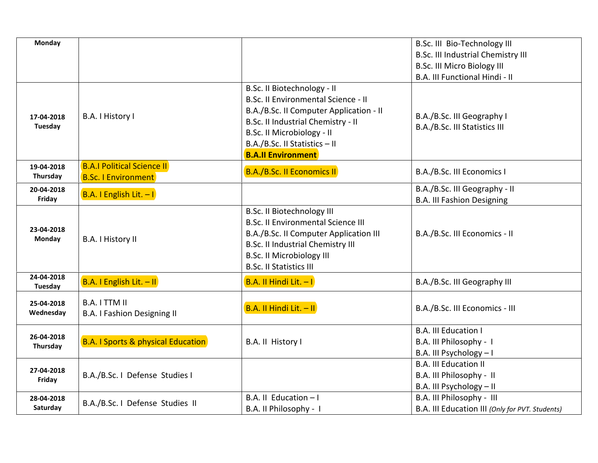| Monday                  |                                                                 |                                                                                                                                                                                                                                                 | B.Sc. III Bio-Technology III<br><b>B.Sc. III Industrial Chemistry III</b><br><b>B.Sc. III Micro Biology III</b><br>B.A. III Functional Hindi - II |
|-------------------------|-----------------------------------------------------------------|-------------------------------------------------------------------------------------------------------------------------------------------------------------------------------------------------------------------------------------------------|---------------------------------------------------------------------------------------------------------------------------------------------------|
| 17-04-2018<br>Tuesday   | B.A. I History I                                                | B.Sc. II Biotechnology - II<br>B.Sc. II Environmental Science - II<br>B.A./B.Sc. II Computer Application - II<br>B.Sc. II Industrial Chemistry - II<br>B.Sc. II Microbiology - II<br>B.A./B.Sc. II Statistics - II<br><b>B.A.II Environment</b> | B.A./B.Sc. III Geography I<br>B.A./B.Sc. III Statistics III                                                                                       |
| 19-04-2018<br>Thursday  | <b>B.A.I Political Science II</b><br><b>B.Sc. I Environment</b> | <b>B.A./B.Sc. II Economics II</b>                                                                                                                                                                                                               | B.A./B.Sc. III Economics I                                                                                                                        |
| 20-04-2018<br>Friday    | <b>B.A. I English Lit. - I</b>                                  |                                                                                                                                                                                                                                                 | B.A./B.Sc. III Geography - II<br><b>B.A. III Fashion Designing</b>                                                                                |
| 23-04-2018<br>Monday    | B.A. I History II                                               | <b>B.Sc. II Biotechnology III</b><br><b>B.Sc. II Environmental Science III</b><br>B.A./B.Sc. II Computer Application III<br><b>B.Sc. II Industrial Chemistry III</b><br><b>B.Sc. II Microbiology III</b><br><b>B.Sc. II Statistics III</b>      | B.A./B.Sc. III Economics - II                                                                                                                     |
| 24-04-2018<br>Tuesday   | B.A. I English Lit. - II                                        | B.A. II Hindi Lit. $-1$                                                                                                                                                                                                                         | B.A./B.Sc. III Geography III                                                                                                                      |
| 25-04-2018<br>Wednesday | <b>B.A. I TTM II</b><br><b>B.A. I Fashion Designing II</b>      | B.A. II Hindi Lit. - II                                                                                                                                                                                                                         | B.A./B.Sc. III Economics - III                                                                                                                    |
| 26-04-2018<br>Thursday  | <b>B.A. I Sports &amp; physical Education</b>                   | B.A. II History I                                                                                                                                                                                                                               | <b>B.A. III Education I</b><br>B.A. III Philosophy - I<br>B.A. III Psychology - I                                                                 |
| 27-04-2018<br>Friday    | B.A./B.Sc. I Defense Studies I                                  |                                                                                                                                                                                                                                                 | <b>B.A. III Education II</b><br>B.A. III Philosophy - II<br>B.A. III Psychology - II                                                              |
| 28-04-2018<br>Saturday  | B.A./B.Sc. I Defense Studies II                                 | B.A. II Education - I<br>B.A. II Philosophy - I                                                                                                                                                                                                 | B.A. III Philosophy - III<br>B.A. III Education III (Only for PVT. Students)                                                                      |